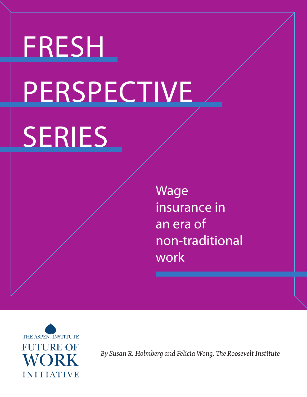# FRESH **PERSPECTIVE** SERIES

Wage insurance in an era of non-traditional work



*By Susan R. Holmberg and Felicia Wong, The Roosevelt Institute*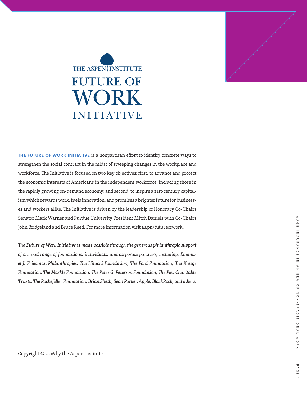### THE ASPEN INSTITUTE **FUTURE OF** WORK INITIATIVE



**THE FUTURE OF WORK INITIATIVE** is a nonpartisan effort to identify concrete ways to strengthen the social contract in the midst of sweeping changes in the workplace and workforce. The Initiative is focused on two key objectives: first, to advance and protect the economic interests of Americans in the independent workforce, including those in the rapidly growing on-demand economy; and second, to inspire a 21st-century capitalism which rewards work, fuels innovation, and promises a brighter future for businesses and workers alike. The Initiative is driven by the leadership of Honorary Co-Chairs Senator Mark Warner and Purdue University President Mitch Daniels with Co-Chairs John Bridgeland and Bruce Reed. For more information visit as.pn/futureofwork.

*The Future of Work Initiative is made possible through the generous philanthropic support of a broad range of foundations, individuals, and corporate partners, including: Emanuel J. Friedman Philanthropies, The Hitachi Foundation, The Ford Foundation, The Kresge Foundation, The Markle Foundation, The Peter G. Peterson Foundation, The Pew Charitable Trusts, The Rockefeller Foundation, Brian Sheth, Sean Parker, Apple, BlackRock, and others.* WAGE INSURANCE IN AN ERA OF NON-TRADITIONAL WORK | WAGE INSURANCE IN AN ERA OF NON-TRADITIONAL WORK PAGE 1 PAGE 1

Copyright © 2016 by the Aspen Institute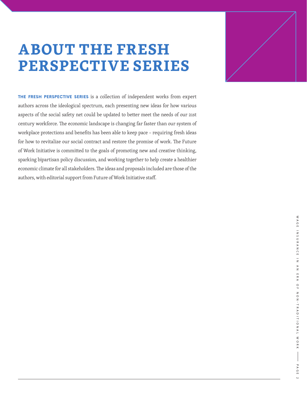### **ABOUT THE FRESH PERSPECTIVE SERIES**

**THE FRESH PERSPECTIVE SERIES** is a collection of independent works from expert authors across the ideological spectrum, each presenting new ideas for how various aspects of the social safety net could be updated to better meet the needs of our 21st century workforce. The economic landscape is changing far faster than our system of workplace protections and benefits has been able to keep pace – requiring fresh ideas for how to revitalize our social contract and restore the promise of work. The Future of Work Initiative is committed to the goals of promoting new and creative thinking, sparking bipartisan policy discussion, and working together to help create a healthier economic climate for all stakeholders. The ideas and proposals included are those of the authors, with editorial support from Future of Work Initiative staff.

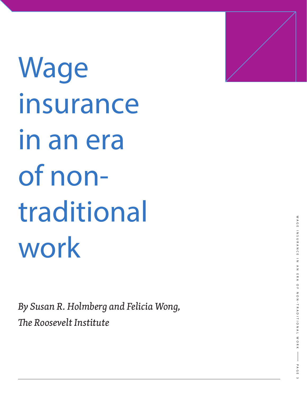Wage insurance in an era of nontraditional work

*By Susan R. Holmberg and Felicia Wong, The Roosevelt Institute*

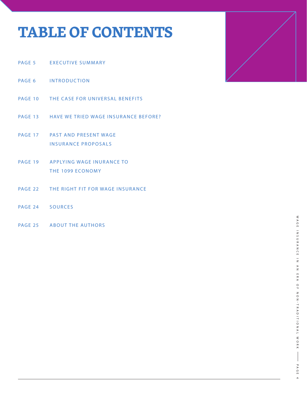### **TABLE OF CONTENTS**

- PAGE 5 EXECUTIVE SUMMARY
- PAGE 6 INTRODUCTION
- PAGE 10 THE CASE FOR UNIVERSAL BENEFITS
- PAGE 13 HAVE WE TRIED WAGE INSURANCE BEFORE?
- PAGE 17 PAST AND PRESENT WAGE INSURANCE PROPOSALS
- PAGE 19 APPLYING WAGE INURANCE TO THE 1099 ECONOMY
- PAGE 22 THE RIGHT FIT FOR WAGE INSURANCE
- PAGE 24 SOURCES
- PAGE 25 ABOUT THE AUTHORS

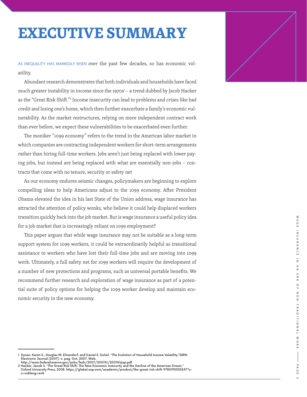### **EXECUTIVE SUMMARY**

AS INEQUALITY HAS MARKEDLY RISEN over the past few decades, so has economic vol atility.

Abundant research demonstrates that both individuals and households have faced much greater instability in income since the 1970s 1 – a trend dubbed by Jacob Hacker as the "Great Risk Shift." 2 Income insecurity can lead to problems and crises like bad credit and losing one's home, which then further exacerbate a family's economic vul nerability. As the market restructures, relying on more independent contract work than ever before, we expect these vulnerabilities to be exacerbated even further.

The moniker "1099 economy" refers to the trend in the American labor market in which companies are contracting independent workers for short-term arrangements rather than hiring full-time workers. Jobs aren't just being replaced with lower pay ing jobs, but instead are being replaced with what are essentially non-jobs – con tracts that come with no tenure, security or safety net

As our economy endures seismic changes, policymakers are beginning to explore compelling ideas to help Americans adjust to the 1099 economy. After President Obama elevated the idea in his last State of the Union address, wage insurance has attracted the attention of policy wonks, who believe it could help displaced workers transition quickly back into the job market. But is wage insurance a useful policy idea for a job market that is increasingly reliant on 1099 employment?

This paper argues that while wage insurance may not be suitable as a long-term support system for 1099 workers, it could be extraordinarily helpful as transitional assistance to workers who have lost their full-time jobs and are moving into 1099 work. Ultimately, a full safety net for 1099 workers will require the development of a number of new protections and programs, such as universal portable benefits. We recommend further research and exploration of wage insurance as part of a poten tial suite of policy options for helping the 1099 worker develop and maintain eco nomic security in the new economy.



<sup>1</sup> Dynan, Karen E., Douglas W. Elmendorf, and Daniel E. Sichel. "The Evolution of Household Income Volatility."SSRN<br>Electronic Journal (2007): n. pag. Oct. 2007. Web.<br>http://www.federalreserve.gov/pubs/feds/2007/200761/2007

Oxford University Press, 2008. https://global.oup.com/academic/product/the-great-risk-shift-9780195335347?c c=us&lang=en&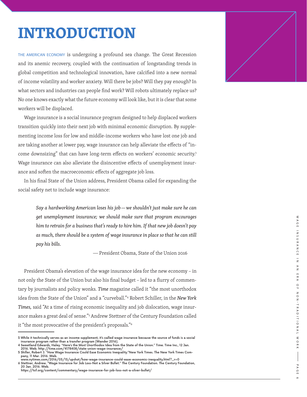### **INTRODUCTION**

THE AMERICAN ECONOMY is undergoing a profound sea change. The Great Recession and its anemic recovery, coupled with the continuation of longstanding trends in global competition and technological innovation, have calcified into a new normal of income volatility and worker anxiety. Will there be jobs? Will they pay enough? In what sectors and industries can people find work? Will robots ultimately replace us? No one knows exactly what the future economy will look like, but it is clear that some workers will be displaced.

Wage insurance is a social insurance program designed to help displaced workers transition quickly into their next job with minimal economic disruption. By supple menting income loss for low and middle-income workers who have lost one job and are taking another at lower pay, wage insurance can help alleviate the effects of "in come downsizing" that can have long-term effects on workers' economic security. 3 Wage insurance can also alleviate the disincentive effects of unemployment insur ance and soften the macroeconomic effects of aggregate job loss.

In his final State of the Union address, President Obama called for expanding the social safety net to include wage insurance:

> *Say a hardworking American loses his job —we shouldn't just make sure he can get unemployment insurance; we should make sure that program encourages him to retrain for a business that's ready to hire him. If that new job doesn't pay as much, there should be a system of wage insurance in place so that he can still pay his bills.*

> > � President Obama, State of the Union 2016

President Obama's elevation of the wage insurance idea for the new economy – in not only the State of the Union but also his final budget – led to a flurry of commen tary by journalists and policy wonks. *Time* magazine called it "the most unorthodox idea from the State of the Union" and a "curveball." 4 Robert Schiller, in the *New York Times,* said "At a time of rising economic inequality and job dislocation, wage insur ance makes a great deal of sense." 5 Andrew Stettner of the Century Foundation called it "the most provocative of the president's proposals." 6



<sup>3</sup> While it technically serves as an income supplement, it's called wage insurance because the source of funds is a social insurance program rather than a transfer program (Wander 2016).

<sup>4</sup> Sweetland Edwards, Haley. "Here's the Most Unorthodox Idea from the State of the Union." Time. Time Inc., 12 Jan.

<sup>2016.</sup> Web. http://time.com/4178408/state-union-wage-insurance/ 5 Shiller, Robert J. "How Wage Insurance Could Ease Economic Inequality."New York Times. The New York Times Com pany, 11 Mar. 2016. Web.

www.nytimes.com/2016/03/13/upshot/how-wage-insurance-could-ease-economic-inequality.html?\_r=0 6 Stettner, Andrew. "Wage Insurance for Job Loss-Not a Silver Bullet." The Century Foundation. The Century Foundation, 20 Jan. 2016. Web.

https://tcf.org/content/commentary/wage-insurance-for-job-loss-not-a-silver-bullet/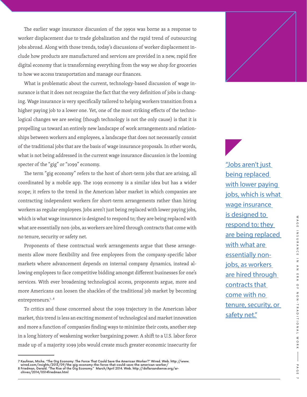The earlier wage insurance discussion of the 1990s was borne as a response to worker displacement due to trade globalization and the rapid trend of outsourcing jobs abroad. Along with those trends, today's discussions of worker displacement include how products are manufactured and services are provided in a new, rapid fire digital economy that is transforming everything from the way we shop for groceries to how we access transportation and manage our finances.

What is problematic about the current, technology-based discussion of wage insurance is that it does not recognize the fact that the very definition of jobs is changing. Wage insurance is very specifically tailored to helping workers transition from a higher paying job to a lower one. Yet, one of the most striking effects of the technological changes we are seeing (though technology is not the only cause) is that it is propelling us toward an entirely new landscape of work arrangements and relationships between workers and employees, a landscape that does not necessarily consist of the traditional jobs that are the basis of wage insurance proposals. In other words, what is not being addressed in the current wage insurance discussion is the looming specter of the "gig" or "1099" economy.

The term "gig economy" refers to the host of short-term jobs that are arising, all coordinated by a mobile app. The 1099 economy is a similar idea but has a wider scope; it refers to the trend in the American labor market in which companies are contracting independent workers for short-term arrangements rather than hiring workers as regular employees. Jobs aren't just being replaced with lower paying jobs, which is what wage insurance is designed to respond to; they are being replaced with what are essentially non-jobs, as workers are hired through contracts that come with no tenure, security or safety net.

Proponents of these contractual work arrangements argue that these arrangements allow more flexibility and free employees from the company-specific labor markets where advancement depends on internal company dynamics, instead allowing employees to face competitive bidding amongst different businesses for one's services. With ever broadening technological access, proponents argue, more and more Americans can loosen the shackles of the traditional job market by becoming entrepreneurs.<sup>7,8</sup>

To critics and those concerned about the 1099 trajectory in the American labor market, this trend is less an exciting moment of technological and market innovation and more a function of companies finding ways to minimize their costs, another step in a long history of weakening worker bargaining power. A shift to a U.S. labor force made up of a majority 1099 jobs would create much greater economic insecurity for

"Jobs aren't just being replaced with lower paying jobs, which is what wage insurance is designed to respond to; they are being replaced with what are essentially nonjobs, as workers are hired through contracts that come with no tenure, security, or safety net."

<sup>7</sup> Kaufman, Micha. "The Gig Economy: The Force That Could Save the American Worker?" Wired. Web. http://www.<br>— wired.com/insights/2013/09/the-gig-economy-the-force-that-could-save-the-american-worker/<br>8 Friedman, Gerald. "T chives/2014/0314friedman.html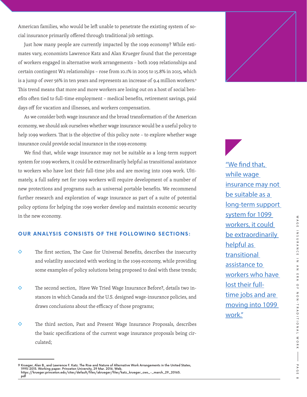American families, who would be left unable to penetrate the existing system of social insurance primarily offered through traditional job settings.

Just how many people are currently impacted by the 1099 economy? While estimates vary, economists Lawrence Katz and Alan Krueger found that the percentage of workers engaged in alternative work arrangements – both 1099 relationships and certain contingent W2 relationships – rose from 10.1% in 2005 to 15.8% in 2015, which is a jump of over 56% in ten years and represents an increase of 9.4 million workers.<sup>9</sup> This trend means that more and more workers are losing out on a host of social benefits often tied to full-time employment – medical benefits, retirement savings, paid days off for vacation and illnesses, and workers compensation.

As we consider both wage insurance and the broad transformation of the American economy, we should ask ourselves whether wage insurance would be a useful policy to help 1099 workers. That is the objective of this policy note – to explore whether wage insurance could provide social insurance in the 1099 economy.

We find that, while wage insurance may not be suitable as a long-term support system for 1099 workers, it could be extraordinarily helpful as transitional assistance to workers who have lost their full-time jobs and are moving into 1099 work. Ultimately, a full safety net for 1099 workers will require development of a number of new protections and programs such as universal portable benefits. We recommend further research and exploration of wage insurance as part of a suite of potential policy options for helping the 1099 worker develop and maintain economic security in the new economy.

#### **OUR ANALYSIS CONSISTS OF THE FOLLOWING SECTIONS:**

- $\diamond$  The first section, The Case for Universal Benefits, describes the insecurity and volatility associated with working in the 1099 economy, while providing some examples of policy solutions being proposed to deal with these trends;
- $\Diamond$  The second section, Have We Tried Wage Insurance Before?, details two instances in which Canada and the U.S. designed wage-insurance policies, and draws conclusions about the efficacy of those programs;
- ♦ The third section, Past and Present Wage Insurance Proposals, describes the basic specifications of the current wage insurance proposals being circulated;

"We find that, while wage insurance may not be suitable as a long-term support system for 1099 workers, it could be extraordinarily helpful as transitional assistance to workers who have lost their fulltime jobs and are moving into 1099 work."



<sup>9</sup> Krueger, Alan B., and Lawrence F. Katz. The Rise and Nature of Alternative Work Arrangements in the United States, 1995-2015. Working paper. Princeton University, 29 Mar. 2016. Web. https://krueger.princeton.edu/sites/default/files/akrueger/files/katz\_krueger\_cws\_-\_march\_29\_20165. pdf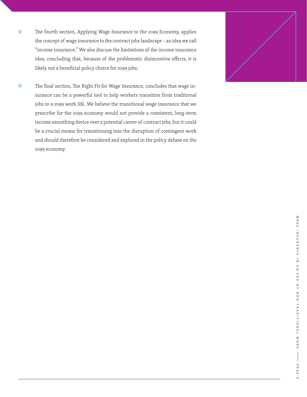- ◆ The fourth section, Applying Wage Insurance to the 1099 Economy, applies the concept of wage insurance to the contract jobs landscape – an idea we call "income insurance." We also discuss the limitations of the income insurance idea, concluding that, because of the problematic disincentive effects, it is likely not a beneficial policy choice for 1099 jobs;
- The final section, The Right Fit for Wage Insurance, concludes that wage in surance can be a powerful tool to help workers transition from traditional jobs to a 1099 work life. We believe the transitional wage insurance that we prescribe for the 1099 economy would not provide a consistent, long-term income smoothing device over a potential career of contract jobs, but it could be a crucial means for transitioning into the disruption of contingent work and should therefore be considered and explored in the policy debate on the 1099 economy.

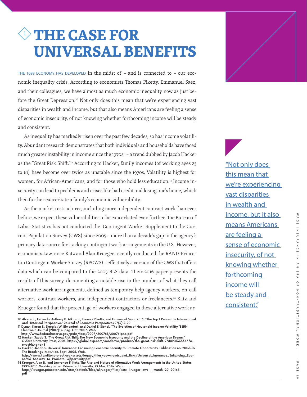### <sup>1</sup> **THE CASE FOR UNIVERSAL BENEFITS**

THE 1099 ECONOMY HAS DEVELOPED in the midst of – and is connected to – our economic inequality crisis. According to economists Thomas Piketty, Emmanuel Saez, and their colleagues, we have almost as much economic inequality now as just before the Great Depression.<sup>10</sup> Not only does this mean that we're experiencing vast disparities in wealth and income, but that also means Americans are feeling a sense of economic insecurity, of not knowing whether forthcoming income will be steady and consistent.

As inequality has markedly risen over the past few decades, so has income volatility. Abundant research demonstrates that both individuals and households have faced much greater instability in income since the 1970s<sup>11</sup> - a trend dubbed by Jacob Hacker as the "Great Risk Shift."<sup>12</sup> According to Hacker, family incomes (of working ages 25 to 61) have become over twice as unstable since the 1970s. Volatility is highest for women, for African-Americans, and for those who hold less education.<sup>13</sup> Income insecurity can lead to problems and crises like bad credit and losing one's home, which then further exacerbate a family's economic vulnerability.

As the market restructures, including more independent contract work than ever before, we expect these vulnerabilities to be exacerbated even further. The Bureau of Labor Statistics has not conducted the Contingent Worker Supplement to the Current Population Survey (CWS) since 2005 – more than a decade's gap in the agency's primary data source for tracking contingent work arrangements in the U.S. However, economists Lawrence Katz and Alan Krueger recently conducted the RAND-Princeton Contingent Worker Survey (RPCWS) – effectively a version of the CWS that offers data which can be compared to the 2005 BLS data. Their 2016 paper presents the results of this survey, documenting a notable rise in the number of what they call alternative work arrangements, defined as temporary help agency workers, on-call workers, contract workers, and independent contractors or freelancers.<sup>14</sup> Katz and Krueger found that the percentage of workers engaged in these alternative work ar-

11 Dynan, Karen E., Douglas W. Elmendorf, and Daniel E. Sichel. "The Evolution of Household Income Volatility."SSRN<br>Electronic Journal (2007): n. paq. Oct. 2007. Web.

"Not only does this mean that we're experiencing vast disparities in wealth and income, but it also means Americans are feeling a sense of economic insecurity, of not knowing whether forthcoming income will be steady and consistent."



<sup>10</sup> Alvaredo, Facundo, Anthony B. Atkinson, Thomas Piketty, and Emmanuel Saez. 2013. "The Top 1 Percent in International and Historical Perspective." Journal of Economic Perspectives 27(3):3-20.

http://www.federalreserve.gov/pubs/feds/2007/200761/200761pap.pdf 12 Hacker, Jacob S. "The Great Risk Shift: The New Economic Insecurity and the Decline of the American Dream." Oxford University Press, 2008. https://global.oup.com/academic/product/the-great-risk-shift-9780195335347?c-

c=us&lang=en& 13 Hacker, Jacob S. Universal Insurance: Enhancing Economic Security to Promote Opportunity. Publication no. 2006-07. The Brookings Institution, Sept. 2006. Web.

http://www.hamiltonproject.org/assets/legacy/files/downloads\_and\_links/Universal\_Insurance\_Enhancing\_Eco-<br>nomic\_Security\_to\_Promote\_Opportunity.pdf<br>14 Krueger, Alan B., and Lawrence F. Katz. The Rise and Nature of Alternat

<sup>1995-2015.</sup> Working paper. Princeton University, 29 Mar. 2016. Web.

http://krueger.princeton.edu/sites/default/files/akrueger/files/katz\_krueger\_cws\_-\_march\_29\_20165. pdf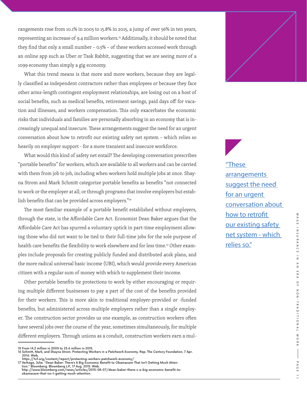rangements rose from 10.1% in 2005 to 15.8% in 2015, a jump of over 56% in ten years, representing an increase of 9.4 million workers.<sup>15</sup> Additionally, it should be noted that they find that only a small number – 0.5% – of these workers accessed work through an online app such as Uber or Task Rabbit, suggesting that we are seeing more of a 1099 economy than simply a gig economy.

What this trend means is that more and more workers, because they are legally classified as independent contractors rather than employees or because they face other arms-length contingent employment relationships, are losing out on a host of social benefits, such as medical benefits, retirement savings, paid days off for vacation and illnesses, and workers compensation. This only exacerbates the economic risks that individuals and families are personally absorbing in an economy that is increasingly unequal and insecure. These arrangements suggest the need for an urgent conversation about how to retrofit our existing safety net system – which relies so heavily on employer support - for a more transient and insecure workforce.

What would this kind of safety net entail? The developing conversation prescribes "portable benefits" for workers, which are available to all workers and can be carried with them from job to job, including when workers hold multiple jobs at once. Shayna Strom and Mark Schmitt categorize portable benefits as benefits "not connected to work or the employer at all; or through programs that involve employers but establish benefits that can be provided across employers."16

The most familiar example of a portable benefit established without employers, through the state, is the Affordable Care Act. Economist Dean Baker argues that the Affordable Care Act has spurred a voluntary uptick in part-time employment allowing those who did not want to be tied to their full-time jobs for the sole purpose of health care benefits the flexibility to work elsewhere and for less time.17 Other examples include proposals for creating publicly funded and distributed 401k plans, and the more radical universal basic income (UBI), which would provide every American citizen with a regular sum of money with which to supplement their income.

Other portable benefits tie protections to work by either encouraging or requiring multiple different businesses to pay a part of the cost of the benefits provided for their workers. This is more akin to traditional employer-provided or -funded benefits, but administered across multiple employers rather than a single employer. The construction sector provides us one example, as construction workers often have several jobs over the course of the year, sometimes simultaneously, for multiple different employers. Through unions as a conduit, construction workers earn a mul"These arrangements suggest the need for an urgent conversation about how to retrofit our existing safety net system - which relies so."



<sup>15</sup> From 14.2 million in 2005 to 23.6 million in 2015.

<sup>16</sup> Schmitt, Mark, and Shayna Strom. Protecting Workers in a Patchwork Economy. Rep. The Century Foundation, 7 Apr. 2016. Web.

https://tcf.org/content/report/protecting-workers-patchwork-economy/<br>17 Verhage, Julie. "Dean Baker: There's A Big Economic Benefit to Obamacare That Isn't Getting Much Atten-<br>tion." Bloomberg. Bloomberg L.P., 17 Aug. 2015

http://www.bloomberg.com/news/articles/2015-08-07/dean-baker-there-s-a-big-economic-benefit-to-obamacare-that-isn-t-getting-much-attention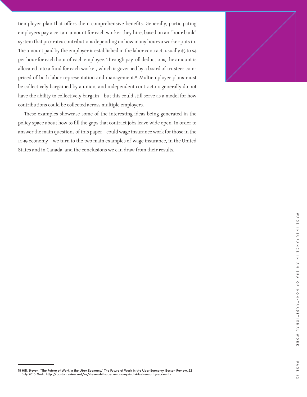tiemployer plan that offers them comprehensive benefits. Generally, participating employers pay a certain amount for each worker they hire, based on an "hour bank" system that pro-rates contributions depending on how many hours a worker puts in. The amount paid by the employer is established in the labor contract, usually \$3 to \$4 per hour for each hour of each employee. Through payroll deductions, the amount is allocated into a fund for each worker, which is governed by a board of trustees comprised of both labor representation and management.<sup>18</sup> Multiemployer plans must be collectively bargained by a union, and independent contractors generally do not have the ability to collectively bargain – but this could still serve as a model for how contributions could be collected across multiple employers.

These examples showcase some of the interesting ideas being generated in the policy space about how to fill the gaps that contract jobs leave wide open. In order to answer the main questions of this paper – could wage insurance work for those in the 1099 economy – we turn to the two main examples of wage insurance, in the United States and in Canada, and the conclusions we can draw from their results.



18 Hill, Steven. "The Future of Work in the Uber Economy." The Future of Work in the Uber Economy. Boston Review, 22 July 2015. Web. http://bostonreview.net/us/steven-hill-uber-economy-individual-security-accounts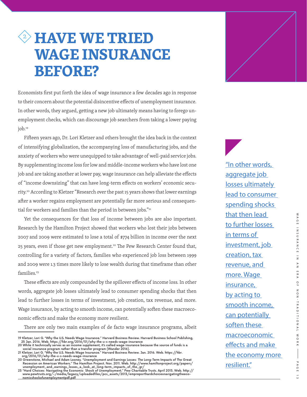### <sup>2</sup> **HAVE WE TRIED WAGE INSURANCE BEFORE?**

Economists first put forth the idea of wage insurance a few decades ago in response to their concern about the potential disincentive effects of unemployment insurance. In other words, they argued, getting a new job ultimately means having to forego unemployment checks, which can discourage job searchers from taking a lower paying job.19

Fifteen years ago, Dr. Lori Kletzer and others brought the idea back in the context of intensifying globalization, the accompanying loss of manufacturing jobs, and the anxiety of workers who were unequipped to take advantage of well-paid service jobs. By supplementing income loss for low and middle-income workers who have lost one job and are taking another at lower pay, wage insurance can help alleviate the effects of "income downsizing" that can have long-term effects on workers' economic security.20 According to Kletzer "Research over the past 15 years shows that lower earnings after a worker regains employment are potentially far more serious and consequential for workers and families than the period in between jobs."<sup>21</sup>

Yet the consequences for that loss of income between jobs are also important. Research by the Hamilton Project showed that workers who lost their jobs between 2007 and 2009 were estimated to lose a total of \$774 billion in income over the next 25 years, even if those get new employment.<sup>22</sup> The Pew Research Center found that, controlling for a variety of factors, families who experienced job loss between 1999 and 2009 were 1.3 times more likely to lose wealth during that timeframe than other families.<sup>23</sup>

These effects are only compounded by the spillover effects of income loss. In other words, aggregate job losses ultimately lead to consumer spending shocks that then lead to further losses in terms of investment, job creation, tax revenue, and more. Wage insurance, by acting to smooth income, can potentially soften these macroeconomic effects and make the economy more resilient.

There are only two main examples of de facto wage insurance programs, albeit

"In other words, aggregate job losses ultimately lead to consumer spending shocks that then lead to further losses in terms of investment, job creation, tax revenue, and more. Wage insurance, by acting to smooth income, can potentially soften these macroeconomic effects and make the economy more resilient."

<sup>19</sup> Kletzer, Lori G. "Why the U.S. Needs Wage Insurance." Harvard Business Review. Harvard Business School Publishing,<br>- 25 Jan. 2016. Web. https://hbr.org/2016/01/why-the-u-s-needs-wage-insurance<br>20 While it technically se

social insurance program rather than a transfer program (Wander 2016).<br>21 Kletzer, Lori G. "Why the U.S. Needs Wage Insurance." Harvard Business Review. Jan. 2016. Web. https://hbr.<br>17 Krg/2016/01/why-the-u-s-needs-wage-in

<sup>20</sup> Greenstone, Michael and Adam Looney. "Unemployment and Earnings Losses: The Long-Term Impacts of The Great<br>Recession on American Workers." The Hamilton Project. Nov. 2011. Web. http://www.hamiltonproject.org/papers/<br>une

nomicshockofunemploymentpdf.pdf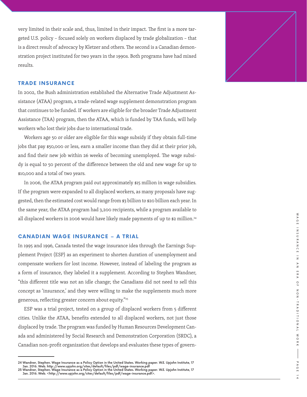very limited in their scale and, thus, limited in their impact. The first is a more tar geted U.S. policy – focused solely on workers displaced by trade globalization – that is a direct result of advocacy by Kletzer and others. The second is a Canadian demon stration project instituted for two years in the 1990s. Both programs have had mixed results.

#### **TRADE INSURANCE**

In 2002, the Bush administration established the Alternative Trade Adjustment As sistance (ATAA) program, a trade-related wage supplement demonstration program that continues to be funded. If workers are eligible for the broader Trade Adjustment Assistance (TAA) program, then the ATAA, which is funded by TAA funds, will help workers who lost their jobs due to international trade.

Workers age 50 or older are eligible for this wage subsidy if they obtain full-time jobs that pay \$50,000 or less, earn a smaller income than they did at their prior job, and find their new job within 26 weeks of becoming unemployed. The wage subsi dy is equal to 50 percent of the difference between the old and new wage for up to \$10,000 and a total of two years.

In 2006, the ATAA program paid out approximately \$15 million in wage subsidies. If the program were expanded to all displaced workers, as many proposals have sug gested, then the estimated cost would range from \$3 billion to \$20 billion each year. In the same year, the ATAA program had 3,200 recipients, while a program available to all displaced workers in 2006 would have likely made payments of up to \$2 million.<sup>24</sup>

#### **CANADIAN WAGE INSURANCE – A TRIAL**

In 1995 and 1996, Canada tested the wage insurance idea through the Earnings Sup plement Project (ESP) as an experiment to shorten duration of unemployment and compensate workers for lost income. However, instead of labeling the program as a form of insurance, they labeled it a supplement. According to Stephen Wandner, "this different title was not an idle change; the Canadians did not need to sell this concept as 'insurance,' and they were willing to make the supplements much more generous, reflecting greater concern about equity."25

ESP was a trial project, tested on a group of displaced workers from 5 different cities. Unlike the ATAA, benefits extended to all displaced workers, not just those displaced by trade. The program was funded by Human Resources Development Can ada and administered by Social Research and Demonstration Corporation (SRDC), a Canadian non-profit organization that develops and evaluates these types of govern -



<sup>24</sup> Wandner, Stephen. Wage Insurance as a Policy Option in the United States. Working paper. W.E. Upjohn Institute, 17 Jan. 2016. Web. http://www.upjohn.org/sites/default/files/pdf/wage-insurance.pdf 25 Wandner, Stephen. Wage Insurance as a Policy Option in the United States. Working paper. W.E. Upjohn Institute, 17<br>Jan. 2016. Web. <http://www.upjohn.org/sites/default/files/pdf/wage-insurance.pdf>.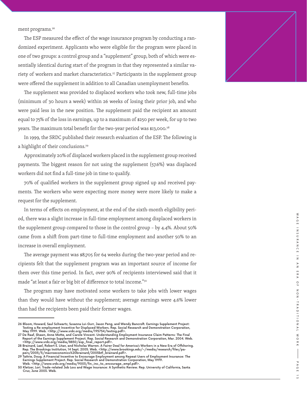ment programs.<sup>26</sup>

The ESP measured the effect of the wage insurance program by conducting a ran domized experiment. Applicants who were eligible for the program were placed in one of two groups: a control group and a "supplement" group, both of which were es sentially identical during start of the program in that they represented a similar va riety of workers and market characteristics.<sup>27</sup> Participants in the supplement group were offered the supplement in addition to all Canadian unemployment benefits.

The supplement was provided to displaced workers who took new, full-time jobs (minimum of 30 hours a week) within 26 weeks of losing their prior job, and who were paid less in the new position. The supplement paid the recipient an amount equal to 75% of the loss in earnings, up to a maximum of \$250 per week, for up to two years. The maximum total benefit for the two-year period was \$13,000.<sup>28</sup>

In 1999, the SRDC published their research evaluation of the ESP. The following is a highlight of their conclusions.<sup>29</sup>

Approximately 20% of displaced workers placed in the supplement group received payments. The biggest reason for not using the supplement (57.6%) was displaced workers did not find a full-time job in time to qualify.

70% of qualified workers in the supplement group signed up and received pay ments. The workers who were expecting more money were more likely to make a request for the supplement.

In terms of effects on employment, at the end of the sixth-month eligibility peri od, there was a slight increase in full-time employment among displaced workers in the supplement group compared to those in the control group – by 4.4%. About 50% came from a shift from part-time to full-time employment and another 50% to an increase in overall employment.

The average payment was \$8,705 for 64 weeks during the two-year period and re cipients felt that the supplement program was an important source of income for them over this time period. In fact, over 90% of recipients interviewed said that it made "at least a fair or big bit of difference to total income."30

The program may have motivated some workers to take jobs with lower wages than they would have without the supplement; average earnings were 4.6% lower than had the recipients been paid their former wages.



<sup>26</sup> Bloom, Howard, Saul Schwartz, Susanna Lui-Gurr, Jason Peng, and Wendy Bancroft. Earnings Supplement Project:

Testing a Re-employment Incentive for Displaced Workers. Rep. Social Research and Demonstration Corporation,<br>May 1999. Web. <http://www.srdc.org/media/195754/testing.pdf>.<br>27 De Raaf, Shawn, Anne Motte, and Carole Vincent.

<sup>-</sup> http://www.srdc.org/media/8850/esp\_final\_report.pdf>.<br>28 Brainard, Lael, Robert E. Litan, and Nicholas Warren. A Fairer Deal for America's Workers in a New Era of Offshoring.<br>Rep. The Brookings Institution, 14 Sept. 200 pers/2005/5/macroeconomics%20brainard/2005btf\_brainard.pdf>. 29 Tattrie, Doug. A Financial Incentive to Encourage Employment among Repeat Users of Employment Insurance: The

Earnings Supplement Project. Rep. Social Research and Demonstration Corporation, May 1999.

Web. <http://www.srdc.org/media/9003/fin\_inc\_to\_encourage\_empl.pdf>. 30 Kletzer, Lori. Trade-related Job Loss and Wage Insurance: A Synthetic Review. Rep. University of California, Santa Cruz, June 2003. Web.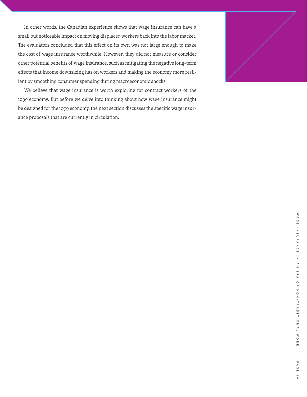In other words, the Canadian experience shows that wage insurance can have a small but noticeable impact on moving displaced workers back into the labor market. The evaluators concluded that this effect on its own was not large enough to make the cost of wage insurance worthwhile. However, they did not measure or consider other potential benefits of wage insurance, such as mitigating the negative long-term effects that income downsizing has on workers and making the economy more resilient by smoothing consumer spending during macroeconomic shocks.

We believe that wage insurance is worth exploring for contract workers of the 1099 economy. But before we delve into thinking about how wage insurance might be designed for the 1099 economy, the next section discusses the specific wage insurance proposals that are currently in circulation.

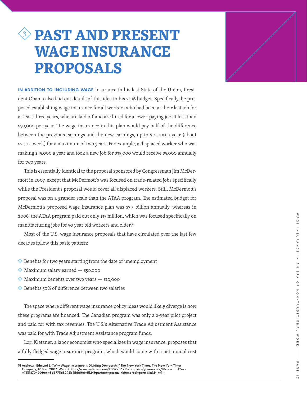### <sup>3</sup> **PAST AND PRESENT WAGE INSURANCE PROPOSALS**

**IN ADDITION TO INCLUDING WAGE** insurance in his last State of the Union, Presi dent Obama also laid out details of this idea in his 2016 budget. Specifically, he pro posed establishing wage insurance for all workers who had been at their last job for at least three years, who are laid off and are hired for a lower-paying job at less than \$50,000 per year. The wage insurance in this plan would pay half of the difference between the previous earnings and the new earnings, up to \$10,000 a year (about \$200 a week) for a maximum of two years. For example, a displaced worker who was making \$45,000 a year and took a new job for \$35,000 would receive \$5,000 annually for two years.

This is essentially identical to the proposal sponsored by Congressman Jim McDer mott in 2007, except that McDermott's was focused on trade-related jobs specifically while the President's proposal would cover all displaced workers. Still, McDermott's proposal was on a grander scale than the ATAA program. The estimated budget for McDermott's proposed wage insurance plan was \$3.5 billion annually, whereas in 2006, the ATAA program paid out only \$15 million, which was focused specifically on manufacturing jobs for 50 year old workers and older.<sup>31</sup>

Most of the U.S. wage insurance proposals that have circulated over the last few decades follow this basic pattern:

- $\Diamond$  Benefits for two years starting from the date of unemployment
- $\Diamond$  Maximum salary earned  $-$  \$50,000
- $\Diamond$  Maximum benefits over two years  $-$  \$10,000
- $\Diamond$  Benefits 50% of difference between two salaries

The space where different wage insurance policy ideas would likely diverge is how these programs are financed. The Canadian program was only a 2-year pilot project and paid for with tax revenues. The U.S.'s Alternative Trade Adjustment Assistance was paid for with Trade Adjustment Assistance program funds.

Lori Kletzner, a labor economist who specializes in wage insurance, proposes that a fully fledged wage insurance program, which would come with a net annual cost



<sup>31</sup> Andrews, Edmund L. "Why Wage Insurance Is Dividing Democrats." The New York Times. The New York Times Company, 17 Mar. 2007. Web. <http://www.nytimes.com/2007/03/18/business/yourmoney/18view.html?ex-=1331870400&en=3d577368295b456e&ei=5124&partner=permalink&exprod=permalink&\_r=1>.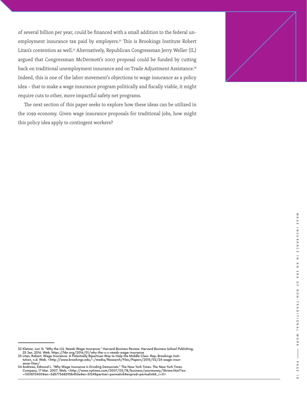of several billion per year, could be financed with a small addition to the federal unemployment insurance tax paid by employers.<sup>32</sup> This is Brookings Institute Robert Litan's contention as well.<sup>33</sup> Alternatively, Republican Congressman Jerry Weller (IL) argued that Congressman McDermott's 2007 proposal could be funded by cutting back on traditional unemployment insurance and on Trade Adjustment Assistance.<sup>34</sup> Indeed, this is one of the labor movement's objections to wage insurance as a policy idea – that to make a wage insurance program politically and fiscally viable, it might require cuts to other, more impactful safety net programs.

The next section of this paper seeks to explore how these ideas can be utilized in the 1099 economy. Given wage insurance proposals for traditional jobs, how might this policy idea apply to contingent workers?



<sup>32</sup> Kletzer, Lori G. "Why the U.S. Needs Wage Insurance." Harvard Business Review. Harvard Business School Publishing,<br>25 Jan. 2016. Web. https://hbr.org/2016/01/why-the-u-s-needs-wage-insurance<br>33 Litan, Robert. Wage Insur

ance-litan/<br>34 Andrews, Edmund L. "Why Wage Insurance Is Dividing Democrats." The New York Times. The New York Times<br>Company, 17 Mar. 2007. Web. <http://www.nytimes.com/2007/03/18/business/yourmoney/18view.html?ex-<br>—133187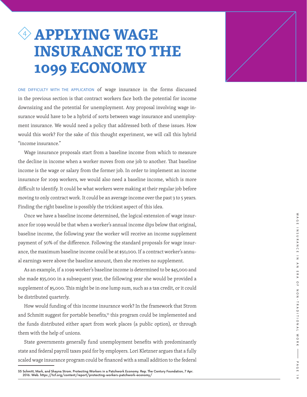### <sup>4</sup> **APPLYING WAGE INSURANCE TO THE 1099 ECONOMY**

ONE DIFFICULTY WITH THE APPLICATION of wage insurance in the forms discussed in the previous section is that contract workers face both the potential for income downsizing and the potential for unemployment. Any proposal involving wage in surance would have to be a hybrid of sorts between wage insurance and unemploy ment insurance. We would need a policy that addressed both of these issues. How would this work? For the sake of this thought experiment, we will call this hybrid "income insurance."

Wage insurance proposals start from a baseline income from which to measure the decline in income when a worker moves from one job to another. That baseline income is the wage or salary from the former job. In order to implement an income insurance for 1099 workers, we would also need a baseline income, which is more difficult to identify. It could be what workers were making at their regular job before moving to only contract work. It could be an average income over the past 3 to 5 years. Finding the right baseline is possibly the trickiest aspect of this idea.

Once we have a baseline income determined, the logical extension of wage insur ance for 1099 would be that when a worker's annual income dips below that original, baseline income, the following year the worker will receive an income supplement payment of 50% of the difference. Following the standard proposals for wage insur ance, the maximum baseline income could be at \$50,000. If a contract worker's annu al earnings were above the baseline amount, then she receives no supplement.

As an example, if a 1099 worker's baseline income is determined to be \$45,000 and she made \$35,000 in a subsequent year, the following year she would be provided a supplement of \$5,000. This might be in one lump sum, such as a tax credit, or it could be distributed quarterly.

How would funding of this income insurance work? In the framework that Strom and Schmitt suggest for portable benefits,<sup>35</sup> this program could be implemented and the funds distributed either apart from work places (a public option), or through them with the help of unions.

State governments generally fund unemployment benefits with predominantly state and federal payroll taxes paid for by employers. Lori Kletzner argues that a fully scaled wage insurance program could be financed with a small addition to the federal



<sup>35</sup> Schmitt, Mark, and Shayna Strom. Protecting Workers in a Patchwork Economy. Rep. The Century Foundation, 7 Apr. 2016. Web. https://tcf.org/content/report/protecting-workers-patchwork-economy/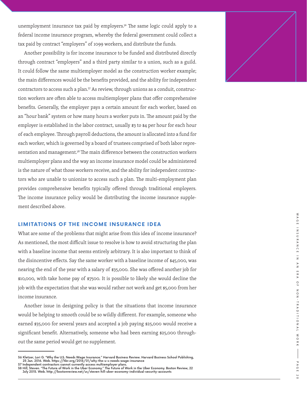unemployment insurance tax paid by employers.<sup>36</sup> The same logic could apply to a federal income insurance program, whereby the federal government could collect a tax paid by contract "employers" of 1099 workers, and distribute the funds.

Another possibility is for income insurance to be funded and distributed directly through contract "employers" and a third party similar to a union, such as a guild. It could follow the same multiemployer model as the construction worker example; the main differences would be the benefits provided, and the ability for independent contractors to access such a plan.37 As review, through unions as a conduit, construc tion workers are often able to access multiemployer plans that offer comprehensive benefits. Generally, the employer pays a certain amount for each worker, based on an "hour bank" system or how many hours a worker puts in. The amount paid by the employer is established in the labor contract, usually \$3 to \$4 per hour for each hour of each employee. Through payroll deductions, the amount is allocated into a fund for each worker, which is governed by a board of trustees comprised of both labor repre sentation and management.<sup>38</sup> The main difference between the construction workers multiemployer plans and the way an income insurance model could be administered is the nature of what those workers receive, and the ability for independent contrac tors who are unable to unionize to access such a plan. The multi-employment plan provides comprehensive benefits typically offered through traditional employers. The income insurance policy would be distributing the income insurance supple ment described above.

#### **LIMITATIONS OF THE INCOME INSURANCE IDEA**

What are some of the problems that might arise from this idea of income insurance? As mentioned, the most difficult issue to resolve is how to avoid structuring the plan with a baseline income that seems entirely arbitrary. It is also important to think of the disincentive effects. Say the same worker with a baseline income of \$45,000, was nearing the end of the year with a salary of \$35,000. She was offered another job for \$10,000, with take home pay of \$7500. It is possible to likely she would decline the job with the expectation that she was would rather not work and get \$5,000 from her income insurance.

Another issue in designing policy is that the situations that income insurance would be helping to smooth could be so wildly different. For example, someone who earned \$35,000 for several years and accepted a job paying \$25,000 would receive a significant benefit. Alternatively, someone who had been earning \$25,000 through out the same period would get no supplement.



<sup>36</sup> Kletzer, Lori G. "Why the U.S. Needs Wage Insurance." Harvard Business Review. Harvard Business School Publishing, 25 Jan. 2016. Web. https://hbr.org/2016/01/why-the-u-s-needs-wage-insurance 37 Independent contractors cannot currently access multiemployer plans.

<sup>38</sup> Hill, Steven. "The Future of Work in the Uber Economy." The Future of Work in the Uber Economy. Boston Review, 22 July 2015. Web. http://bostonreview.net/us/steven-hill-uber-economy-individual-security-accounts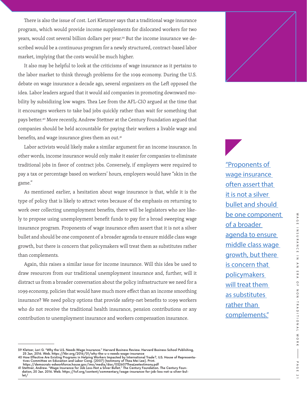There is also the issue of cost. Lori Kletzner says that a traditional wage insurance program, which would provide income supplements for dislocated workers for two years, would cost several billion dollars per year.39 But the income insurance we described would be a continuous program for a newly structured, contract-based labor market, implying that the costs would be much higher.

It also may be helpful to look at the criticisms of wage insurance as it pertains to the labor market to think through problems for the 1099 economy. During the U.S. debate on wage insurance a decade ago, several organizers on the Left opposed the idea. Labor leaders argued that it would aid companies in promoting downward mobility by subsidizing low wages. Thea Lee from the AFL-CIO argued at the time that it encourages workers to take bad jobs quickly rather than wait for something that pays better.40 More recently, Andrew Stettner at the Century Foundation argued that companies should be held accountable for paying their workers a livable wage and benefits, and wage insurance gives them an out.<sup>41</sup>

Labor activists would likely make a similar argument for an income insurance. In other words, income insurance would only make it easier for companies to eliminate traditional jobs in favor of contract jobs. Conversely, if employers were required to pay a tax or percentage based on workers' hours, employers would have "skin in the game."

As mentioned earlier, a hesitation about wage insurance is that, while it is the type of policy that is likely to attract votes because of the emphasis on returning to work over collecting unemployment benefits, there will be legislators who are likely to propose using unemployment benefit funds to pay for a broad sweeping wage insurance program. Proponents of wage insurance often assert that it is not a silver bullet and should be one component of a broader agenda to ensure middle class wage growth, but there is concern that policymakers will treat them as substitutes rather than complements.

Again, this raises a similar issue for income insurance. Will this idea be used to draw resources from our traditional unemployment insurance and, further, will it distract us from a broader conversation about the policy infrastructure we need for a 1099 economy, policies that would have much more effect than an income smoothing insurance? We need policy options that provide safety-net benefits to 1099 workers who do not receive the traditional health insurance, pension contributions or any contribution to unemployment insurance and workers compensation insurance.

wage insurance often assert that it is not a silver bullet and should be one component of a broader agenda to ensure middle class wage growth, but there is concern that policymakers will treat them as substitutes rather than complements."

"Proponents of



<sup>39</sup> Kletzer, Lori G. "Why the U.S. Needs Wage Insurance." Harvard Business Review. Harvard Business School Publishing,<br>25 Jan. 2016. Web. https://hbr.org/2016/01/why-the-u-s-needs-wage-insurance<br>40 How Effective Are Existin

tives Committee on Education and Labor Cong. (2007) (testimony of Thea Mei Lee). Print.<br>https://democrats-edworkforce.house.gov/imo/media/doc/032607TheaLeetestimony.pdf<br>Al Stettner, Andrew. "Wage Insurance for Job Loss-Not dation, 20 Jan. 2016. Web. https://tcf.org/content/commentary/wage-insurance-for-job-loss-not-a-silver-bullet/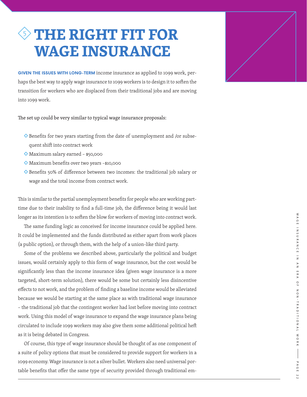### <sup>5</sup> **THE RIGHT FIT FOR WAGE INSURANCE**

**GIVEN THE ISSUES WITH LONG-TERM** income insurance as applied to 1099 work, per haps the best way to apply wage insurance to 1099 workers is to design it to soften the transition for workers who are displaced from their traditional jobs and are moving into 1099 work.

The set up could be very similar to typical wage insurance proposals:

- Benefits for two years starting from the date of unemployment and /or subse quent shift into contract work
- Maximum salary earned \$50,000
- Maximum benefits over two years –\$10,000
- ◆ Benefits 50% of difference between two incomes: the traditional job salary or wage and the total income from contract work.

This is similar to the partial unemployment benefits for people who are working parttime due to their inability to find a full-time job, the difference being it would last longer as its intention is to soften the blow for workers of moving into contract work.

The same funding logic as conceived for income insurance could be applied here. It could be implemented and the funds distributed as either apart from work places (a public option), or through them, with the help of a union-like third party.

Some of the problems we described above, particularly the political and budget issues, would certainly apply to this form of wage insurance, but the cost would be significantly less than the income insurance idea (given wage insurance is a more targeted, short-term solution), there would be some but certainly less disincentive effects to not work, and the problem of finding a baseline income would be alleviated because we would be starting at the same place as with traditional wage insurance – the traditional job that the contingent worker had lost before moving into contract work. Using this model of wage insurance to expand the wage insurance plans being circulated to include 1099 workers may also give them some additional political heft as it is being debated in Congress.

Of course, this type of wage insurance should be thought of as one component of a suite of policy options that must be considered to provide support for workers in a 1099 economy. Wage insurance is not a silver bullet. Workers also need universal por table benefits that offer the same type of security provided through traditional em -

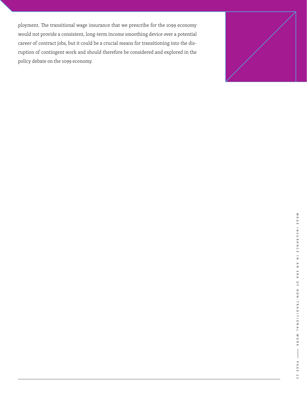ployment. The transitional wage insurance that we prescribe for the 1099 economy would not provide a consistent, long-term income smoothing device over a potential career of contract jobs, but it could be a crucial means for transitioning into the disruption of contingent work and should therefore be considered and explored in the policy debate on the 1099 economy.

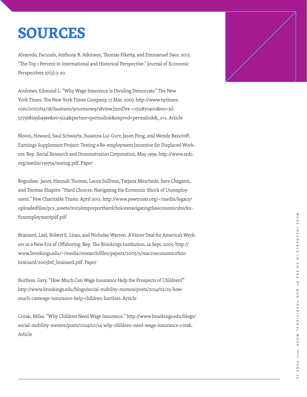### **SOURCES**

Alvaredo, Facundo, Anthony B. Atkinson, Thomas Piketty, and Emmanuel Saez. 2013. "The Top 1 Percent in International and Historical Perspective." Journal of Economic Perspectives  $27(3)$ : 3-20.

Andrews, Edmund L. "Why Wage Insurance Is Dividing Democrats." The New York Times. The New York Times Company, 17 Mar. 2007. http://www.nytimes. com/2007/03/18/business/yourmoney/18view.html?ex-=1331870400&en=3d - 577368295b456e&ei=5124&partner=permalink&exprod=permalink&\_r=1. Article

Bloom, Howard, Saul Schwartz, Susanna Lui-Gurr, Jason Peng, and Wendy Bancroft. Earnings Supplement Project: Testing a Re-employment Incentive for Displaced Work ers. Rep. Social Research and Demonstration Corporation, May 1999. http://www.srdc. org/media/195754/testing.pdf. Paper

Boguslaw, Janet, Hannah Thomas, Laura Sullivan, Tatjana Meschede, Sara Chaganti, and Thomas Shapiro. "Hard Choices: Navigating the Economic Shock of Unemploy ment." Pew Charitable Trusts. April 2013. http://www.pewtrusts.org/~/media/legacy/ uploadedfiles/pcs\_assets/2013/empreporthardchoicesnavigatingtheeconomicshocko funemploymentpdf.pdf

Brainard, Lael, Robert E. Litan, and Nicholas Warren. A Fairer Deal for America's Work ers in a New Era of Offshoring. Rep. The Brookings Institution, 14 Sept. 2005. http:// www.brookings.edu/~/media/research/files/papers/2005/5/macroeconomics%20 brainard/2005btf\_brainard.pdf. Paper

Burtless, Gary. "How Much Can Wage Insurance Help the Prospects of Children?" http://www.brookings.edu/blogs/social-mobility-memos/posts/2014/02/19-howmuch-canwage-insurance-help-children-burtless. Article

Corak, Miles. "Why Children Need Wage Insurance." http://www.brookings.edu/blogs/ social-mobility-memos/posts/2014/02/14-why-children-need-wage-insurance-corak. Article

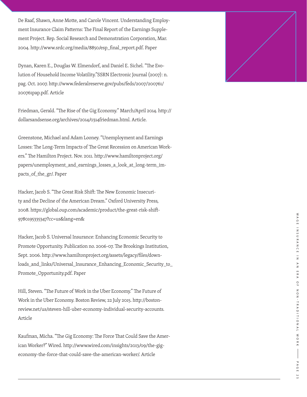De Raaf, Shawn, Anne Motte, and Carole Vincent. Understanding Employ ment Insurance Claim Patterns: The Final Report of the Earnings Supple ment Project. Rep. Social Research and Demonstration Corporation, Mar. 2004. http://www.srdc.org/media/8850/esp\_final\_report.pdf. Paper

Dynan, Karen E., Douglas W. Elmendorf, and Daniel E. Sichel. "The Evo lution of Household Income Volatility."SSRN Electronic Journal (2007): n. pag. Oct. 2007. http://www.federalreserve.gov/pubs/feds/2007/200761/ 200761pap.pdf. Article

Friedman, Gerald. "The Rise of the Gig Economy." March/April 2014. http:// dollarsandsense.org/archives/2014/0314friedman.html. Article.

Greenstone, Michael and Adam Looney. "Unemployment and Earnings Losses: The Long-Term Impacts of The Great Recession on American Work ers." The Hamilton Project. Nov. 2011. http://www.hamiltonproject.org/ papers/unemployment\_and\_earnings\_losses\_a\_look\_at\_long-term\_im pacts\_of\_the\_gr/. Paper

Hacker, Jacob S. "The Great Risk Shift: The New Economic Insecuri ty and the Decline of the American Dream." Oxford University Press, 2008. https://global.oup.com/academic/product/the-great-risk-shift-9780195335347?cc=us&lang=en&

Hacker, Jacob S. Universal Insurance: Enhancing Economic Security to Promote Opportunity. Publication no. 2006-07. The Brookings Institution, Sept. 2006. http://www.hamiltonproject.org/assets/legacy/files/down loads\_and\_links/Universal\_Insurance\_Enhancing\_Economic\_Security\_to\_ Promote\_Opportunity.pdf. Paper

Hill, Steven. "The Future of Work in the Uber Economy." The Future of Work in the Uber Economy. Boston Review, 22 July 2015. http://boston review.net/us/steven-hill-uber-economy-individual-security-accounts. Article

Kaufman, Micha. "The Gig Economy: The Force That Could Save the Amer ican Worker?" Wired. http://www.wired.com/insights/2013/09/the-gigeconomy-the-force-that-could-save-the-american-worker/. Article

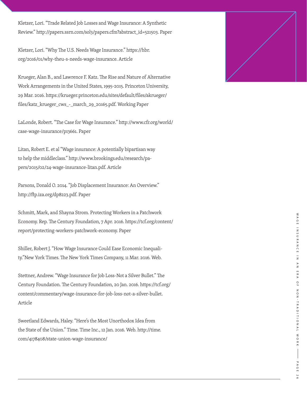Kletzer, Lori. "Trade Related Job Losses and Wage Insurance: A Synthetic Review." http://papers.ssrn.com/sol3/papers.cfm?abstract\_id=521503. Paper

Kletzer, Lori. "Why The U.S. Needs Wage Insurance." https://hbr. org/2016/01/why-theu-s-needs-wage-insurance. Article

Krueger, Alan B., and Lawrence F. Katz. The Rise and Nature of Alternative Work Arrangements in the United States, 1995-2015. Princeton University, 29 Mar. 2016. https://krueger.princeton.edu/sites/default/files/akrueger/ files/katz\_krueger\_cws\_-\_march\_29\_20165.pdf. Working Paper

LaLonde, Robert. "The Case for Wage Insurance." http://www.cfr.org/world/ case-wage-insurance/p13661. Paper

Litan, Robert E. et al "Wage insurance: A potentially bipartisan way to help the middleclass." http://www.brookings.edu/research/pa pers/2015/02/24-wage-insurance-litan.pdf. Article

Parsons, Donald O. 2014. "Job Displacement Insurance: An Overview." http://ftp.iza.org/dp8223.pdf. Paper

Schmitt, Mark, and Shayna Strom. Protecting Workers in a Patchwork Economy. Rep. The Century Foundation, 7 Apr. 2016. https://tcf.org/content/ report/protecting-workers-patchwork-economy. Paper

Shiller, Robert J. "How Wage Insurance Could Ease Economic Inequali ty."New York Times. The New York Times Company, 11 Mar. 2016. Web.

Stettner, Andrew. "Wage Insurance for Job Loss-Not a Silver Bullet." The Century Foundation. The Century Foundation, 20 Jan. 2016. https://tcf.org/ content/commentary/wage-insurance-for-job-loss-not-a-silver-bullet. Article

Sweetland Edwards, Haley. "Here's the Most Unorthodox Idea from the State of the Union." Time. Time Inc., 12 Jan. 2016. Web. http://time. com/4178408/state-union-wage-insurance/

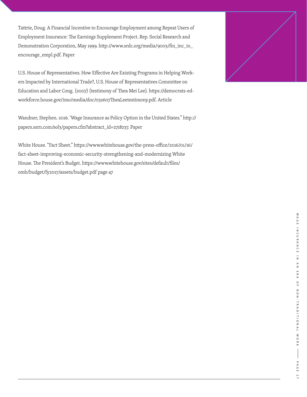Tattrie, Doug. A Financial Incentive to Encourage Employment among Repeat Users of Employment Insurance: The Earnings Supplement Project. Rep. Social Research and Demonstration Corporation, May 1999. http://www.srdc.org/media/9003/fin\_inc\_to\_ encourage\_empl.pdf. Paper

U.S. House of Representatives. How Effective Are Existing Programs in Helping Workers Impacted by International Trade?, U.S. House of Representatives Committee on Education and Labor Cong. (2007) (testimony of Thea Mei Lee). https://democrats-edworkforce.house.gov/imo/media/doc/032607TheaLeetestimony.pdf. Article

Wandner, Stephen. 2016. 'Wage Insurance as Policy Option in the United States." http:// papers.ssrn.com/sol3/papers.cfm?abstract\_id=2718237. Paper

White House. "Fact Sheet." https://www.whitehouse.gov/the-press-office/2016/01/16/ fact-sheet-improving-economic-security-strengthening-and-modernizing White House. The President's Budget. https://www.whitehouse.gov/sites/default/files/ omb/budget/fy2017/assets/budget.pdf page 47

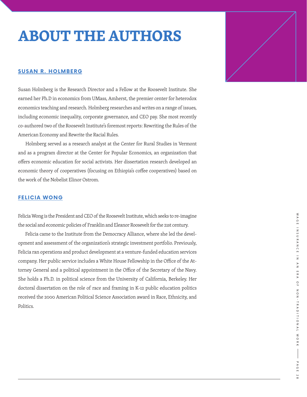### **ABOUT THE AUTHORS**

#### **SUSAN R. HOLMBERG**

Susan Holmberg is the Research Director and a Fellow at the Roosevelt Institute. She earned her Ph.D in economics from UMass, Amherst, the premier center for heterodox economics teaching and research. Holmberg researches and writes on a range of issues, including economic inequality, corporate governance, and CEO pay. She most recently co-authored two of the Roosevelt Institute's foremost reports: Rewriting the Rules of the American Economy and Rewrite the Racial Rules.

 Holmberg served as a research analyst at the Center for Rural Studies in Vermont and as a program director at the Center for Popular Economics, an organization that offers economic education for social activists. Her dissertation research developed an economic theory of cooperatives (focusing on Ethiopia's coffee cooperatives) based on the work of the Nobelist Elinor Ostrom.

#### **FELICIA WONG**

Felicia Wong is the President and CEO of the Roosevelt Institute, which seeks to re-imagine the social and economic policies of Franklin and Eleanor Roosevelt for the 21st century.

 Felicia came to the Institute from the Democracy Alliance, where she led the development and assessment of the organization's strategic investment portfolio. Previously, Felicia ran operations and product development at a venture-funded education services company. Her public service includes a White House Fellowship in the Office of the Attorney General and a political appointment in the Office of the Secretary of the Navy. She holds a Ph.D. in political science from the University of California, Berkeley. Her doctoral dissertation on the role of race and framing in K-12 public education politics received the 2000 American Political Science Association award in Race, Ethnicity, and Politics.